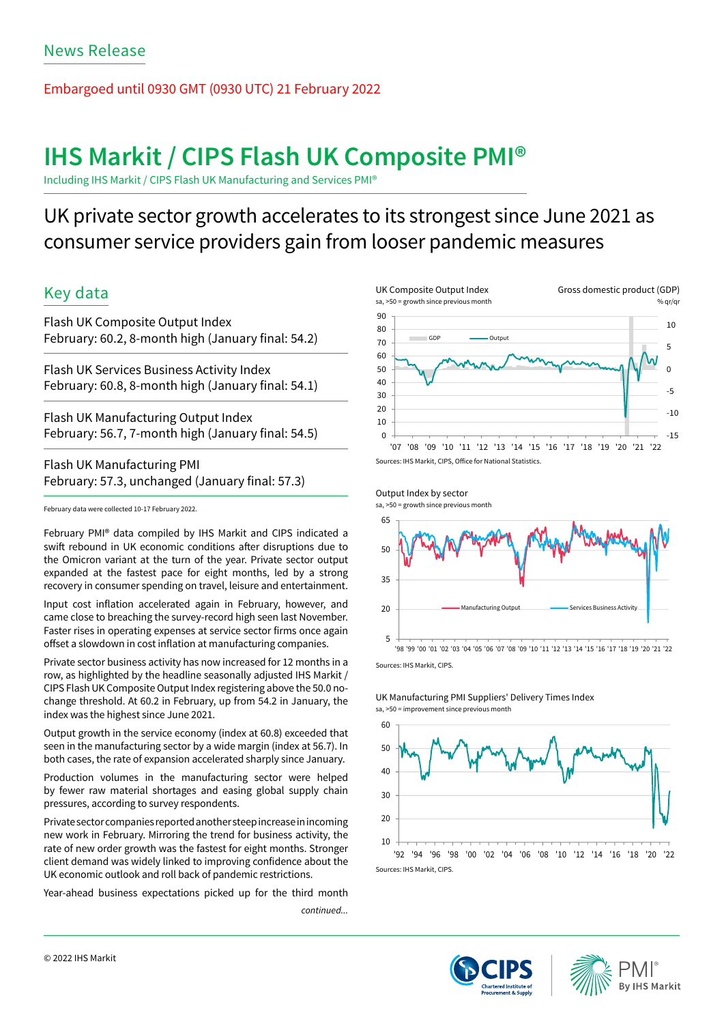# Embargoed until 0930 GMT (0930 UTC) 21 February 2022

# **IHS Markit / CIPS Flash UK Composite PMI®**

Including IHS Markit / CIPS Flash UK Manufacturing and Services PMI®

# UK private sector growth accelerates to its strongest since June 2021 as consumer service providers gain from looser pandemic measures

# Key data

Flash UK Composite Output Index February: 60.2, 8-month high (January final: 54.2)

Flash UK Services Business Activity Index February: 60.8, 8-month high (January final: 54.1)

Flash UK Manufacturing Output Index February: 56.7, 7-month high (January final: 54.5)

Flash UK Manufacturing PMI February: 57.3, unchanged (January final: 57.3)

February data were collected 10-17 February 2022.

February PMI® data compiled by IHS Markit and CIPS indicated a swift rebound in UK economic conditions after disruptions due to the Omicron variant at the turn of the year. Private sector output expanded at the fastest pace for eight months, led by a strong recovery in consumer spending on travel, leisure and entertainment.

Input cost inflation accelerated again in February, however, and came close to breaching the survey-record high seen last November. Faster rises in operating expenses at service sector firms once again offset a slowdown in cost inflation at manufacturing companies.

Private sector business activity has now increased for 12 months in a row, as highlighted by the headline seasonally adjusted IHS Markit / CIPS Flash UK Composite Output Index registering above the 50.0 nochange threshold. At 60.2 in February, up from 54.2 in January, the index was the highest since June 2021.

Output growth in the service economy (index at 60.8) exceeded that seen in the manufacturing sector by a wide margin (index at 56.7). In both cases, the rate of expansion accelerated sharply since January.

Production volumes in the manufacturing sector were helped by fewer raw material shortages and easing global supply chain pressures, according to survey respondents.

Private sector companies reported another steep increase in incoming new work in February. Mirroring the trend for business activity, the rate of new order growth was the fastest for eight months. Stronger client demand was widely linked to improving confidence about the UK economic outlook and roll back of pandemic restrictions.

Year-ahead business expectations picked up for the third month

*continued...*





Sources: IHS Markit, CIPS.

UK Manufacturing PMI Suppliers' Delivery Times Index sa, >50 = improvement since previous month





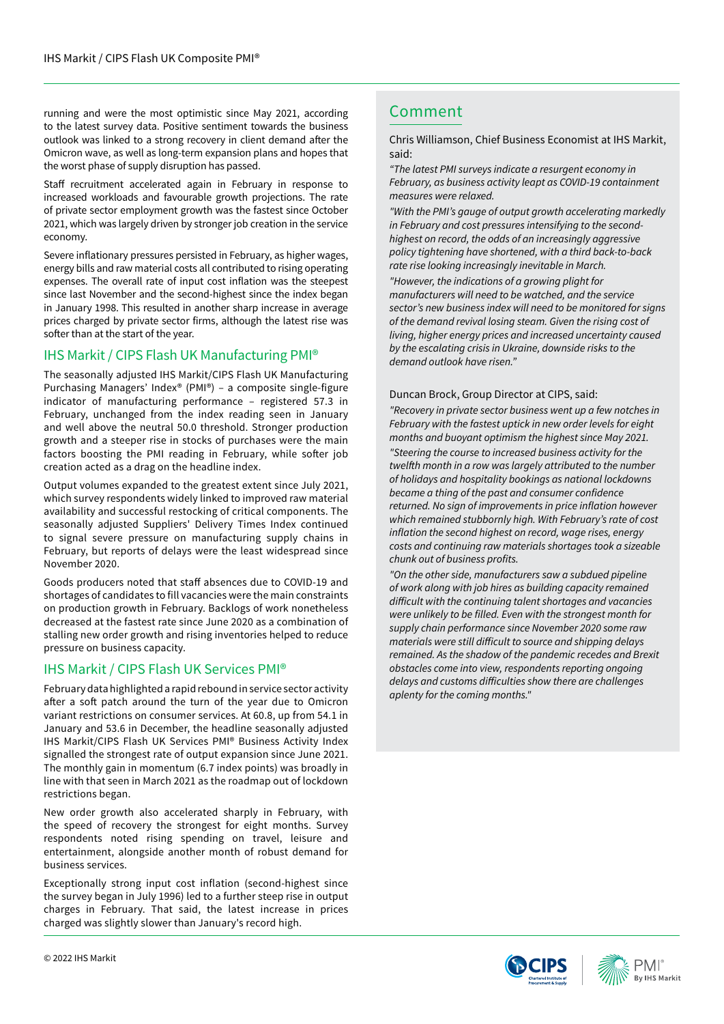running and were the most optimistic since May 2021, according Comment to the latest survey data. Positive sentiment towards the business outlook was linked to a strong recovery in client demand after the Omicron wave, as well as long-term expansion plans and hopes that the worst phase of supply disruption has passed.

Staff recruitment accelerated again in February in response to increased workloads and favourable growth projections. The rate of private sector employment growth was the fastest since October 2021, which was largely driven by stronger job creation in the service economy.

Severe inflationary pressures persisted in February, as higher wages, energy bills and raw material costs all contributed to rising operating expenses. The overall rate of input cost inflation was the steepest since last November and the second-highest since the index began in January 1998. This resulted in another sharp increase in average prices charged by private sector firms, although the latest rise was softer than at the start of the year.

## IHS Markit / CIPS Flash UK Manufacturing PMI®

The seasonally adjusted IHS Markit/CIPS Flash UK Manufacturing Purchasing Managers' Index® (PMI®) – a composite single-figure indicator of manufacturing performance – registered 57.3 in February, unchanged from the index reading seen in January and well above the neutral 50.0 threshold. Stronger production growth and a steeper rise in stocks of purchases were the main factors boosting the PMI reading in February, while softer job creation acted as a drag on the headline index.

Output volumes expanded to the greatest extent since July 2021, which survey respondents widely linked to improved raw material availability and successful restocking of critical components. The seasonally adjusted Suppliers' Delivery Times Index continued to signal severe pressure on manufacturing supply chains in February, but reports of delays were the least widespread since November 2020.

Goods producers noted that staff absences due to COVID-19 and shortages of candidates to fill vacancies were the main constraints on production growth in February. Backlogs of work nonetheless decreased at the fastest rate since June 2020 as a combination of stalling new order growth and rising inventories helped to reduce pressure on business capacity.

## IHS Markit / CIPS Flash UK Services PMI®

February data highlighted a rapid rebound in service sector activity after a soft patch around the turn of the year due to Omicron variant restrictions on consumer services. At 60.8, up from 54.1 in January and 53.6 in December, the headline seasonally adjusted IHS Markit/CIPS Flash UK Services PMI® Business Activity Index signalled the strongest rate of output expansion since June 2021. The monthly gain in momentum (6.7 index points) was broadly in line with that seen in March 2021 as the roadmap out of lockdown restrictions began.

New order growth also accelerated sharply in February, with the speed of recovery the strongest for eight months. Survey respondents noted rising spending on travel, leisure and entertainment, alongside another month of robust demand for business services.

Exceptionally strong input cost inflation (second-highest since the survey began in July 1996) led to a further steep rise in output charges in February. That said, the latest increase in prices charged was slightly slower than January's record high.

Chris Williamson, Chief Business Economist at IHS Markit, said:

*"The latest PMI surveys indicate a resurgent economy in February, as business activity leapt as COVID-19 containment measures were relaxed.*

*"With the PMI's gauge of output growth accelerating markedly in February and cost pressures intensifying to the secondhighest on record, the odds of an increasingly aggressive policy tightening have shortened, with a third back-to-back rate rise looking increasingly inevitable in March.* 

*"However, the indications of a growing plight for manufacturers will need to be watched, and the service sector's new business index will need to be monitored for signs of the demand revival losing steam. Given the rising cost of living, higher energy prices and increased uncertainty caused by the escalating crisis in Ukraine, downside risks to the demand outlook have risen."*

### Duncan Brock, Group Director at CIPS, said:

*"Recovery in private sector business went up a few notches in February with the fastest uptick in new order levels for eight months and buoyant optimism the highest since May 2021. "Steering the course to increased business activity for the*  twelfth month in a row was largely attributed to the number *of holidays and hospitality bookings as national lockdowns*  became a thing of the past and consumer confidence returned. No sign of improvements in price inflation however *which remained stubbornly high. With February's rate of cost*  inflation the second highest on record, wage rises, energy *costs and continuing raw materials shortages took a sizeable*  chunk out of business profits.

*"On the other side, manufacturers saw a subdued pipeline of work along with job hires as building capacity remained*  difficult with the continuing talent shortages and vacancies were unlikely to be filled. Even with the strongest month for *supply chain performance since November 2020 some raw*  materials were still difficult to source and shipping delays *remained. As the shadow of the pandemic recedes and Brexit obstacles come into view, respondents reporting ongoing*  delays and customs difficulties show there are challenges *aplenty for the coming months."*